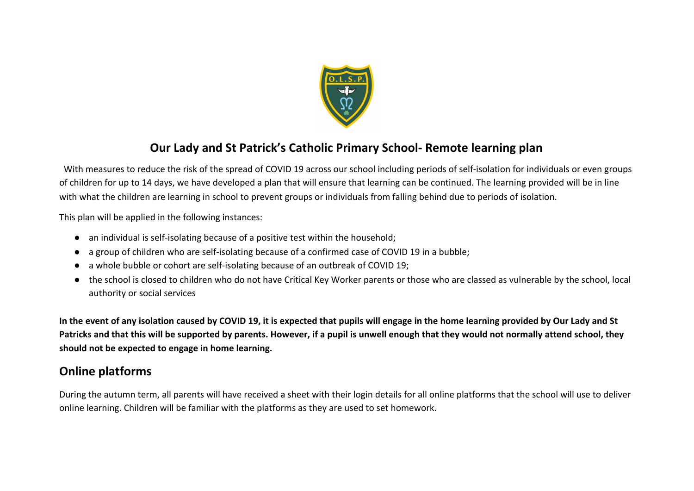

## **Our Lady and St Patrick's Catholic Primary School- Remote learning plan**

 With measures to reduce the risk of the spread of COVID 19 across our school including periods of self-isolation for individuals or even groups of children for up to 14 days, we have developed a plan that will ensure that learning can be continued. The learning provided will be in line with what the children are learning in school to prevent groups or individuals from falling behind due to periods of isolation.

This plan will be applied in the following instances:

- an individual is self-isolating because of a positive test within the household;
- a group of children who are self-isolating because of a confirmed case of COVID 19 in a bubble;
- a whole bubble or cohort are self-isolating because of an outbreak of COVID 19;
- the school is closed to children who do not have Critical Key Worker parents or those who are classed as vulnerable by the school, local authority or social services

**In the event of any isolation caused by COVID 19, it is expected that pupils will engage in the home learning provided by Our Lady and St Patricks and that this will be supported by parents. However, if a pupil is unwell enough that they would not normally attend school, they should not be expected to engage in home learning.**

## **Online platforms**

During the autumn term, all parents will have received a sheet with their login details for all online platforms that the school will use to deliver online learning. Children will be familiar with the platforms as they are used to set homework.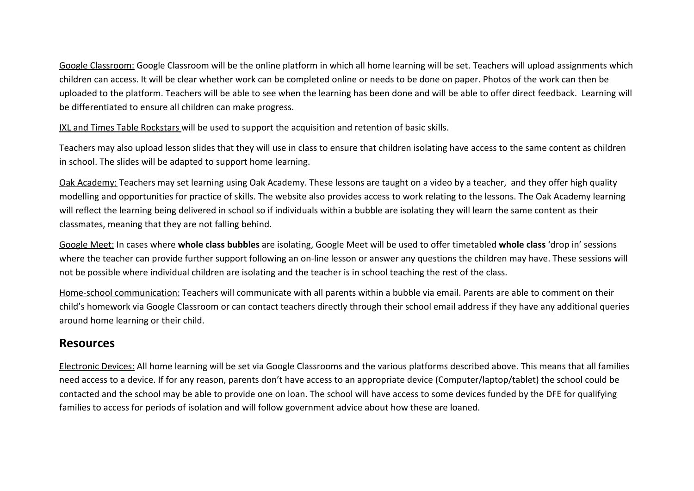Google Classroom: Google Classroom will be the online platform in which all home learning will be set. Teachers will upload assignments which children can access. It will be clear whether work can be completed online or needs to be done on paper. Photos of the work can then be uploaded to the platform. Teachers will be able to see when the learning has been done and will be able to offer direct feedback. Learning will be differentiated to ensure all children can make progress.

IXL and Times Table Rockstars will be used to support the acquisition and retention of basic skills.

Teachers may also upload lesson slides that they will use in class to ensure that children isolating have access to the same content as children in school. The slides will be adapted to support home learning.

Oak Academy: Teachers may set learning using Oak Academy. These lessons are taught on a video by a teacher, and they offer high quality modelling and opportunities for practice of skills. The website also provides access to work relating to the lessons. The Oak Academy learning will reflect the learning being delivered in school so if individuals within a bubble are isolating they will learn the same content as their classmates, meaning that they are not falling behind.

Google Meet: In cases where **whole class bubbles** are isolating, Google Meet will be used to offer timetabled **whole class** 'drop in' sessions where the teacher can provide further support following an on-line lesson or answer any questions the children may have. These sessions will not be possible where individual children are isolating and the teacher is in school teaching the rest of the class.

Home-school communication: Teachers will communicate with all parents within a bubble via email. Parents are able to comment on their child's homework via Google Classroom or can contact teachers directly through their school email address if they have any additional queries around home learning or their child.

## **Resources**

Electronic Devices: All home learning will be set via Google Classrooms and the various platforms described above. This means that all families need access to a device. If for any reason, parents don't have access to an appropriate device (Computer/laptop/tablet) the school could be contacted and the school may be able to provide one on loan. The school will have access to some devices funded by the DFE for qualifying families to access for periods of isolation and will follow government advice about how these are loaned.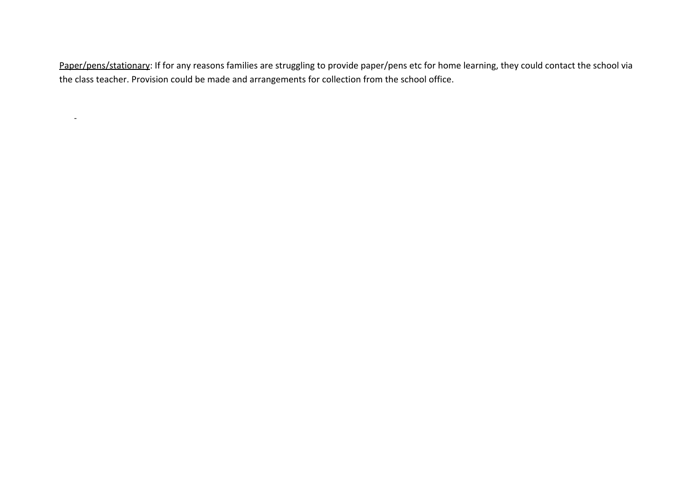Paper/pens/stationary: If for any reasons families are struggling to provide paper/pens etc for home learning, they could contact the school via the class teacher. Provision could be made and arrangements for collection from the school office.

-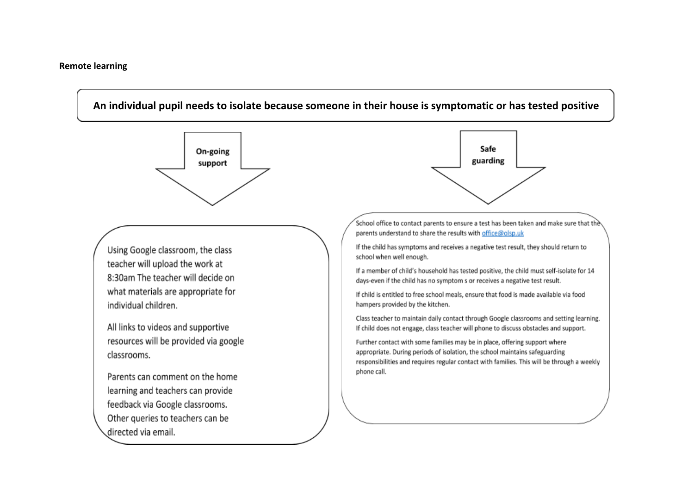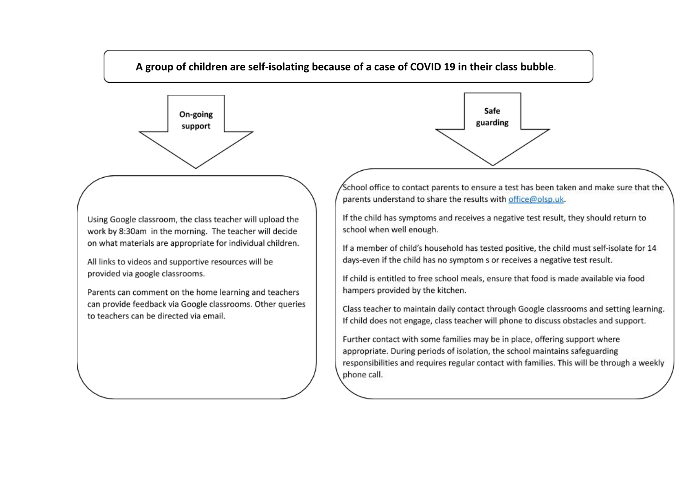



Using Google classroom, the class teacher will upload the work by 8:30am in the morning. The teacher will decide on what materials are appropriate for individual children.

All links to videos and supportive resources will be provided via google classrooms.

Parents can comment on the home learning and teachers can provide feedback via Google classrooms. Other queries to teachers can be directed via email.



School office to contact parents to ensure a test has been taken and make sure that the parents understand to share the results with office@olsp.uk.

If the child has symptoms and receives a negative test result, they should return to school when well enough.

If a member of child's household has tested positive, the child must self-isolate for 14 days-even if the child has no symptom s or receives a negative test result.

If child is entitled to free school meals, ensure that food is made available via food hampers provided by the kitchen.

Class teacher to maintain daily contact through Google classrooms and setting learning. If child does not engage, class teacher will phone to discuss obstacles and support.

Further contact with some families may be in place, offering support where appropriate. During periods of isolation, the school maintains safeguarding responsibilities and requires regular contact with families. This will be through a weekly phone call.